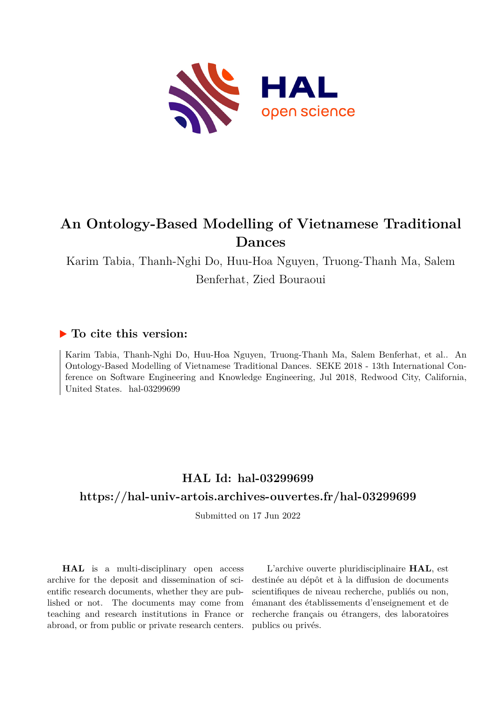

# **An Ontology-Based Modelling of Vietnamese Traditional Dances**

Karim Tabia, Thanh-Nghi Do, Huu-Hoa Nguyen, Truong-Thanh Ma, Salem Benferhat, Zied Bouraoui

## **To cite this version:**

Karim Tabia, Thanh-Nghi Do, Huu-Hoa Nguyen, Truong-Thanh Ma, Salem Benferhat, et al.. An Ontology-Based Modelling of Vietnamese Traditional Dances. SEKE 2018 - 13th International Conference on Software Engineering and Knowledge Engineering, Jul 2018, Redwood City, California, United States.  $hal-03299699$ 

## **HAL Id: hal-03299699**

### **<https://hal-univ-artois.archives-ouvertes.fr/hal-03299699>**

Submitted on 17 Jun 2022

**HAL** is a multi-disciplinary open access archive for the deposit and dissemination of scientific research documents, whether they are published or not. The documents may come from teaching and research institutions in France or abroad, or from public or private research centers.

L'archive ouverte pluridisciplinaire **HAL**, est destinée au dépôt et à la diffusion de documents scientifiques de niveau recherche, publiés ou non, émanant des établissements d'enseignement et de recherche français ou étrangers, des laboratoires publics ou privés.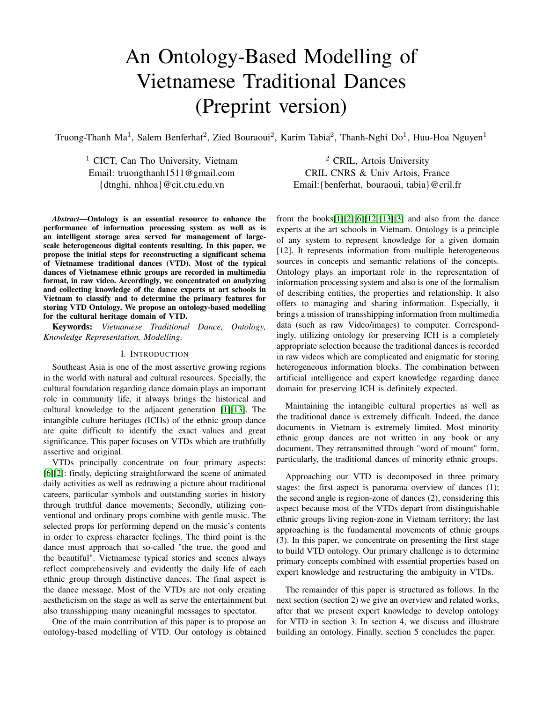# An Ontology-Based Modelling of Vietnamese Traditional Dances (Preprint version)

Truong-Thanh Ma<sup>1</sup>, Salem Benferhat<sup>2</sup>, Zied Bouraoui<sup>2</sup>, Karim Tabia<sup>2</sup>, Thanh-Nghi Do<sup>1</sup>, Huu-Hoa Nguyen<sup>1</sup>

<sup>1</sup> CICT, Can Tho University, Vietnam  $2$  CRIL, Artois University

Email: truongthanh1511@gmail.com CRIL CNRS & Univ Artois, France {dtnghi, nhhoa}@cit.ctu.edu.vn Email:{benferhat, bouraoui, tabia}@cril.fr

*Abstract***—Ontology is an essential resource to enhance the performance of information processing system as well as is an intelligent storage area served for management of largescale heterogeneous digital contents resulting. In this paper, we propose the initial steps for reconstructing a significant schema of Vietnamese traditional dances (VTD). Most of the typical dances of Vietnamese ethnic groups are recorded in multimedia format, in raw video. Accordingly, we concentrated on analyzing and collecting knowledge of the dance experts at art schools in Vietnam to classify and to determine the primary features for storing VTD Ontology. We propose an ontology-based modelling for the cultural heritage domain of VTD.**

**Keywords:** *Vietnamese Traditional Dance, Ontology, Knowledge Representation, Modelling*.

#### I. INTRODUCTION

Southeast Asia is one of the most assertive growing regions in the world with natural and cultural resources. Specially, the cultural foundation regarding dance domain plays an important role in community life, it always brings the historical and cultural knowledge to the adjacent generation [1][13]. The intangible culture heritages (ICHs) of the ethnic group dance are quite difficult to identify the exact values and great significance. This paper focuses on VTDs which are truthfully assertive and original.

VTDs principally concentrate on four primary aspects: [6][2]: firstly, depicting straightforward the scene of animated daily activities as well as redrawing a picture about traditional careers, particular symbols and outstanding stories in history through truthful dance movements; Secondly, utilizing conventional and ordinary props combine with gentle music. The selected props for performing depend on the music's contents in order to express character feelings. The third point is the dance must approach that so-called "the true, the good and the beautiful". Vietnamese typical stories and scenes always reflect comprehensively and evidently the daily life of each ethnic group through distinctive dances. The final aspect is the dance message. Most of the VTDs are not only creating aestheticism on the stage as well as serve the entertainment but also transshipping many meaningful messages to spectator.

One of the main contribution of this paper is to propose an ontology-based modelling of VTD. Our ontology is obtained from the books[1][2][6][12][13][3] and also from the dance experts at the art schools in Vietnam. Ontology is a principle of any system to represent knowledge for a given domain [12]. It represents information from multiple heterogeneous sources in concepts and semantic relations of the concepts. Ontology plays an important role in the representation of information processing system and also is one of the formalism of describing entities, the properties and relationship. It also offers to managing and sharing information. Especially, it brings a mission of transshipping information from multimedia data (such as raw Video/images) to computer. Correspondingly, utilizing ontology for preserving ICH is a completely appropriate selection because the traditional dances is recorded in raw videos which are complicated and enigmatic for storing heterogeneous information blocks. The combination between artificial intelligence and expert knowledge regarding dance domain for preserving ICH is definitely expected.

Maintaining the intangible cultural properties as well as the traditional dance is extremely difficult. Indeed, the dance documents in Vietnam is extremely limited. Most minority ethnic group dances are not written in any book or any document. They retransmitted through "word of mount" form, particularly, the traditional dances of minority ethnic groups.

Approaching our VTD is decomposed in three primary stages: the first aspect is panorama overview of dances (1); the second angle is region-zone of dances (2), considering this aspect because most of the VTDs depart from distinguishable ethnic groups living region-zone in Vietnam territory; the last approaching is the fundamental movements of ethnic groups (3). In this paper, we concentrate on presenting the first stage to build VTD ontology. Our primary challenge is to determine primary concepts combined with essential properties based on expert knowledge and restructuring the ambiguity in VTDs.

The remainder of this paper is structured as follows. In the next section (section 2) we give an overview and related works, after that we present expert knowledge to develop ontology for VTD in section 3. In section 4, we discuss and illustrate building an ontology. Finally, section 5 concludes the paper.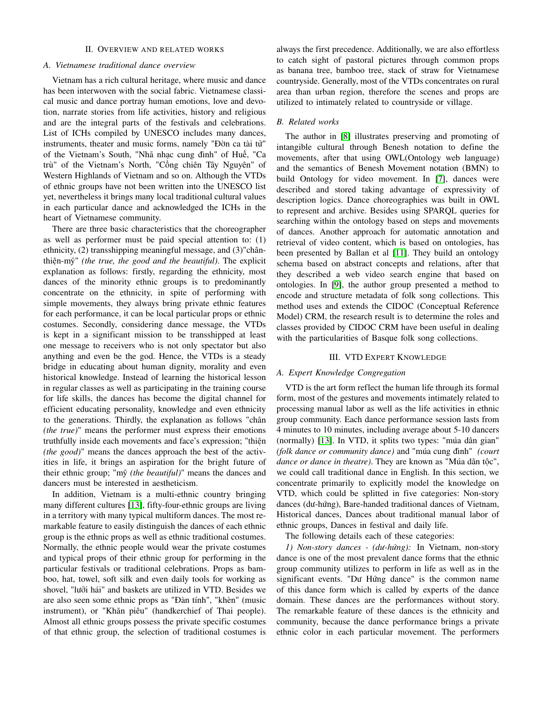#### II. OVERVIEW AND RELATED WORKS

#### *A. Vietnamese traditional dance overview*

Vietnam has a rich cultural heritage, where music and dance has been interwoven with the social fabric. Vietnamese classical music and dance portray human emotions, love and devotion, narrate stories from life activities, history and religious and are the integral parts of the festivals and celebrations. List of ICHs compiled by UNESCO includes many dances, instruments, theater and music forms, namely "Đờn ca tài tử" of the Vietnam's South, "Nhã nhạc cung đình" of Huế, "Ca trù" of the Vietnam's North, "Cồng chiên Tây Nguyên" of Western Highlands of Vietnam and so on. Although the VTDs of ethnic groups have not been written into the UNESCO list yet, nevertheless it brings many local traditional cultural values in each particular dance and acknowledged the ICHs in the heart of Vietnamese community.

There are three basic characteristics that the choreographer as well as performer must be paid special attention to: (1) ethnicity, (2) transshipping meaningful message, and (3)"chânthiện-mỹ" *(the true, the good and the beautiful)*. The explicit explanation as follows: firstly, regarding the ethnicity, most dances of the minority ethnic groups is to predominantly concentrate on the ethnicity, in spite of performing with simple movements, they always bring private ethnic features for each performance, it can be local particular props or ethnic costumes. Secondly, considering dance message, the VTDs is kept in a significant mission to be transshipped at least one message to receivers who is not only spectator but also anything and even be the god. Hence, the VTDs is a steady bridge in educating about human dignity, morality and even historical knowledge. Instead of learning the historical lesson in regular classes as well as participating in the training course for life skills, the dances has become the digital channel for efficient educating personality, knowledge and even ethnicity to the generations. Thirdly, the explanation as follows "chân *(the true)*" means the performer must express their emotions truthfully inside each movements and face's expression; "thiện *(the good)*" means the dances approach the best of the activities in life, it brings an aspiration for the bright future of their ethnic group; "mỹ *(the beautiful)*" means the dances and dancers must be interested in aestheticism.

In addition, Vietnam is a multi-ethnic country bringing many different cultures [13], fifty-four-ethnic groups are living in a territory with many typical multiform dances. The most remarkable feature to easily distinguish the dances of each ethnic group is the ethnic props as well as ethnic traditional costumes. Normally, the ethnic people would wear the private costumes and typical props of their ethnic group for performing in the particular festivals or traditional celebrations. Props as bamboo, hat, towel, soft silk and even daily tools for working as shovel, "lưỡi hái" and baskets are utilized in VTD. Besides we are also seen some ethnic props as "Đàn tính", "khèn" (music instrument), or "Khăn piêu" (handkerchief of Thai people). Almost all ethnic groups possess the private specific costumes of that ethnic group, the selection of traditional costumes is

always the first precedence. Additionally, we are also effortless to catch sight of pastoral pictures through common props as banana tree, bamboo tree, stack of straw for Vietnamese countryside. Generally, most of the VTDs concentrates on rural area than urban region, therefore the scenes and props are utilized to intimately related to countryside or village.

#### *B. Related works*

The author in [8] illustrates preserving and promoting of intangible cultural through Benesh notation to define the movements, after that using OWL(Ontology web language) and the semantics of Benesh Movement notation (BMN) to build Ontology for video movement. In [7], dances were described and stored taking advantage of expressivity of description logics. Dance choreographies was built in OWL to represent and archive. Besides using SPARQL queries for searching within the ontology based on steps and movements of dances. Another approach for automatic annotation and retrieval of video content, which is based on ontologies, has been presented by Ballan et al [11]. They build an ontology schema based on abstract concepts and relations, after that they described a web video search engine that based on ontologies. In [9], the author group presented a method to encode and structure metadata of folk song collections. This method uses and extends the CIDOC (Conceptual Reference Model) CRM, the research result is to determine the roles and classes provided by CIDOC CRM have been useful in dealing with the particularities of Basque folk song collections.

#### III. VTD EXPERT KNOWLEDGE

#### *A. Expert Knowledge Congregation*

VTD is the art form reflect the human life through its formal form, most of the gestures and movements intimately related to processing manual labor as well as the life activities in ethnic group community. Each dance performance session lasts from 4 minutes to 10 minutes, including average about 5-10 dancers (normally) [13]. In VTD, it splits two types: "múa dân gian" *(folk dance or community dance)* and "múa cung đình" *(court dance or dance in theatre)*. They are known as "Múa dân tộc", we could call traditional dance in English. In this section, we concentrate primarily to explicitly model the knowledge on VTD, which could be splitted in five categories: Non-story dances (dư-hứng), Bare-handed traditional dances of Vietnam, Historical dances, Dances about traditional manual labor of ethnic groups, Dances in festival and daily life.

The following details each of these categories:

*1) Non-story dances - (dư-hứng):* In Vietnam, non-story dance is one of the most prevalent dance forms that the ethnic group community utilizes to perform in life as well as in the significant events. "Dư Hứng dance" is the common name of this dance form which is called by experts of the dance domain. These dances are the performances without story. The remarkable feature of these dances is the ethnicity and community, because the dance performance brings a private ethnic color in each particular movement. The performers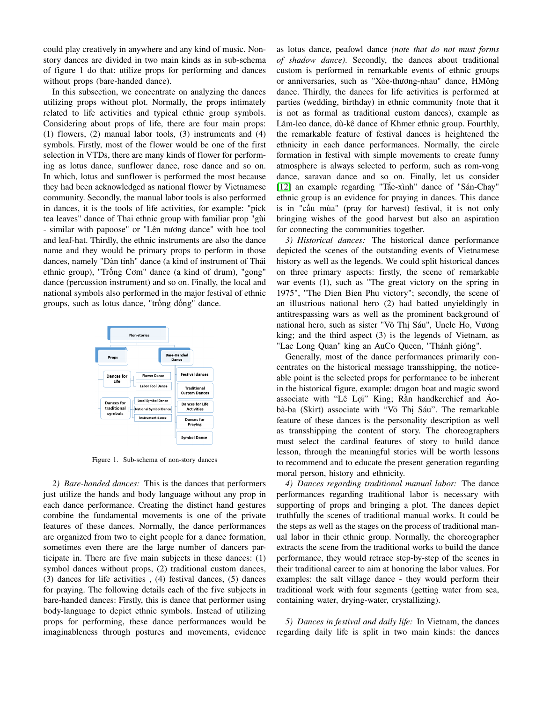could play creatively in anywhere and any kind of music. Nonstory dances are divided in two main kinds as in sub-schema of figure 1 do that: utilize props for performing and dances without props (bare-handed dance).

In this subsection, we concentrate on analyzing the dances utilizing props without plot. Normally, the props intimately related to life activities and typical ethnic group symbols. Considering about props of life, there are four main props: (1) flowers, (2) manual labor tools, (3) instruments and (4) symbols. Firstly, most of the flower would be one of the first selection in VTDs, there are many kinds of flower for performing as lotus dance, sunflower dance, rose dance and so on. In which, lotus and sunflower is performed the most because they had been acknowledged as national flower by Vietnamese community. Secondly, the manual labor tools is also performed in dances, it is the tools of life activities, for example: "pick tea leaves" dance of Thai ethnic group with familiar prop "gùi - similar with papoose" or "Lên nương dance" with hoe tool and leaf-hat. Thirdly, the ethnic instruments are also the dance name and they would be primary props to perform in those dances, namely "Đàn tính" dance (a kind of instrument of Thái ethnic group), "Trống Cơm" dance (a kind of drum), "gong" dance (percussion instrument) and so on. Finally, the local and national symbols also performed in the major festival of ethnic groups, such as lotus dance, "trống đồng" dance.



Figure 1. Sub-schema of non-story dances

*2) Bare-handed dances:* This is the dances that performers just utilize the hands and body language without any prop in each dance performance. Creating the distinct hand gestures combine the fundamental movements is one of the private features of these dances. Normally, the dance performances are organized from two to eight people for a dance formation, sometimes even there are the large number of dancers participate in. There are five main subjects in these dances: (1) symbol dances without props, (2) traditional custom dances, (3) dances for life activities , (4) festival dances, (5) dances for praying. The following details each of the five subjects in bare-handed dances: Firstly, this is dance that performer using body-language to depict ethnic symbols. Instead of utilizing props for performing, these dance performances would be imaginableness through postures and movements, evidence as lotus dance, peafowl dance *(note that do not must forms of shadow dance)*. Secondly, the dances about traditional custom is performed in remarkable events of ethnic groups or anniversaries, such as "Xòe-thương-nhau" dance, HMông dance. Thirdly, the dances for life activities is performed at parties (wedding, birthday) in ethnic community (note that it is not as formal as traditional custom dances), example as Lăm-leo dance, dù-kê dance of Khmer ethnic group. Fourthly, the remarkable feature of festival dances is heightened the ethnicity in each dance performances. Normally, the circle formation in festival with simple movements to create funny atmosphere is always selected to perform, such as rom-vong dance, saravan dance and so on. Finally, let us consider [12] an example regarding "Tắc-xình" dance of "Sán-Chay" ethnic group is an evidence for praying in dances. This dance is in "cầu mùa" (pray for harvest) festival, it is not only bringing wishes of the good harvest but also an aspiration for connecting the communities together.

*3) Historical dances:* The historical dance performance depicted the scenes of the outstanding events of Vietnamese history as well as the legends. We could split historical dances on three primary aspects: firstly, the scene of remarkable war events (1), such as "The great victory on the spring in 1975", "The Dien Bien Phu victory"; secondly, the scene of an illustrious national hero (2) had batted unyieldingly in antitrespassing wars as well as the prominent background of national hero, such as sister "Võ Thị Sáu", Uncle Ho, Vương king; and the third aspect (3) is the legends of Vietnam, as "Lac Long Quan" king an AuCo Queen, "Thánh gióng".

Generally, most of the dance performances primarily concentrates on the historical message transshipping, the noticeable point is the selected props for performance to be inherent in the historical figure, example: dragon boat and magic sword associate with "Lê Lợi" King; Rằn handkerchief and Áobà-ba (Skirt) associate with "Võ Thị Sáu". The remarkable feature of these dances is the personality description as well as transshipping the content of story. The choreographers must select the cardinal features of story to build dance lesson, through the meaningful stories will be worth lessons to recommend and to educate the present generation regarding moral person, history and ethnicity.

*4) Dances regarding traditional manual labor:* The dance performances regarding traditional labor is necessary with supporting of props and bringing a plot. The dances depict truthfully the scenes of traditional manual works. It could be the steps as well as the stages on the process of traditional manual labor in their ethnic group. Normally, the choreographer extracts the scene from the traditional works to build the dance performance, they would retrace step-by-step of the scenes in their traditional career to aim at honoring the labor values. For examples: the salt village dance - they would perform their traditional work with four segments (getting water from sea, containing water, drying-water, crystallizing).

*5) Dances in festival and daily life:* In Vietnam, the dances regarding daily life is split in two main kinds: the dances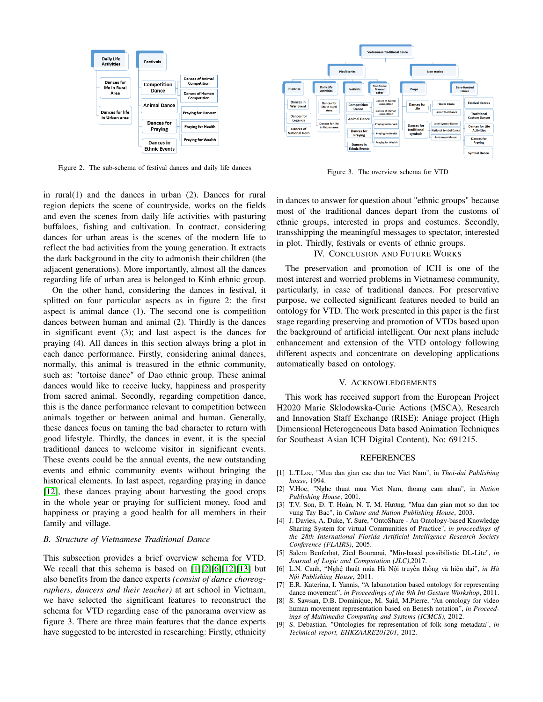

Figure 2. The sub-schema of festival dances and daily life dances

in rural(1) and the dances in urban (2). Dances for rural region depicts the scene of countryside, works on the fields and even the scenes from daily life activities with pasturing buffaloes, fishing and cultivation. In contract, considering dances for urban areas is the scenes of the modern life to reflect the bad activities from the young generation. It extracts the dark background in the city to admonish their children (the adjacent generations). More importantly, almost all the dances regarding life of urban area is belonged to Kinh ethnic group.

On the other hand, considering the dances in festival, it splitted on four particular aspects as in figure 2: the first aspect is animal dance (1). The second one is competition dances between human and animal (2). Thirdly is the dances in significant event (3); and last aspect is the dances for praying (4). All dances in this section always bring a plot in each dance performance. Firstly, considering animal dances, normally, this animal is treasured in the ethnic community, such as: "tortoise dance" of Dao ethnic group. These animal dances would like to receive lucky, happiness and prosperity from sacred animal. Secondly, regarding competition dance, this is the dance performance relevant to competition between animals together or between animal and human. Generally, these dances focus on taming the bad character to return with good lifestyle. Thirdly, the dances in event, it is the special traditional dances to welcome visitor in significant events. These events could be the annual events, the new outstanding events and ethnic community events without bringing the historical elements. In last aspect, regarding praying in dance [12], these dances praying about harvesting the good crops in the whole year or praying for sufficient money, food and happiness or praying a good health for all members in their family and village.

#### *B. Structure of Vietnamese Traditional Dance*

This subsection provides a brief overview schema for VTD. We recall that this schema is based on [1][2][6][12][13] but also benefits from the dance experts *(consist of dance choreographers, dancers and their teacher)* at art school in Vietnam, we have selected the significant features to reconstruct the schema for VTD regarding case of the panorama overview as figure 3. There are three main features that the dance experts have suggested to be interested in researching: Firstly, ethnicity



Figure 3. The overview schema for VTD

in dances to answer for question about "ethnic groups" because most of the traditional dances depart from the customs of ethnic groups, interested in props and costumes. Secondly, transshipping the meaningful messages to spectator, interested in plot. Thirdly, festivals or events of ethnic groups.

#### IV. CONCLUSION AND FUTURE WORKS

The preservation and promotion of ICH is one of the most interest and worried problems in Vietnamese community, particularly, in case of traditional dances. For preservative purpose, we collected significant features needed to build an ontology for VTD. The work presented in this paper is the first stage regarding preserving and promotion of VTDs based upon the background of artificial intelligent. Our next plans include enhancement and extension of the VTD ontology following different aspects and concentrate on developing applications automatically based on ontology.

#### V. ACKNOWLEDGEMENTS

This work has received support from the European Project H2020 Marie Sklodowska-Curie Actions (MSCA), Research and Innovation Staff Exchange (RISE): Aniage project (High Dimensional Heterogeneous Data based Animation Techniques for Southeast Asian ICH Digital Content), No: 691215.

#### REFERENCES

- [1] L.T.Loc, "Mua dan gian cac dan toc Viet Nam", in *Thoi-dai Publishing house*, 1994.
- [2] V.Hoc, "Nghe thuat mua Viet Nam, thoang cam nhan", in *Nation Publishing House*, 2001.
- [3] T.V. Son, Đ. T. Hoàn, N. T. M. Hương, "Mua dan gian mot so dan toc vung Tay Bac", in *Culture and Nation Publishing House*, 2003.
- [4] J. Davies, A. Duke, Y. Sure, "OntoShare An Ontology-based Knowledge Sharing System for virtual Communities of Practice", *in proceedings of the 28th International Florida Artificial Intelligence Research Society Conference (FLAIRS)*, 2005.
- [5] Salem Benferhat, Zied Bouraoui, "Min-based possibilistic DL-Lite", *in Journal of Logic and Computation (JLC)*,2017.
- [6] L.N. Canh, "Nghệ thuật múa Hà Nội truyền thống và hiện đại", *in Hà Nội Publishing House*, 2011.
- [7] E.R. Katerina, I. Yannis, "A labanotation based ontology for representing dance movement", *in Proceedings of the 9th Int Gesture Workshop*, 2011.
- [8] S. Sawsan, D.B. Dominique, M. Said, M.Pierre, "An ontology for video human movement representation based on Benesh notation", *in Proceedings of Multimedia Computing and Systems (ICMCS)*, 2012.
- [9] S. Debastian. "Ontologies for representation of folk song metadata", *in Technical report, EHKZAARE201201*, 2012.